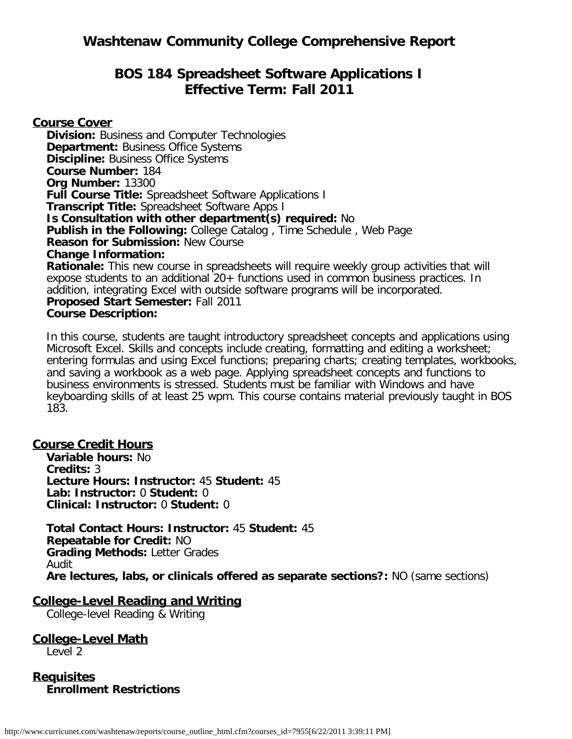# **BOS 184 Spreadsheet Software Applications I Effective Term: Fall 2011**

**Course Cover**

**Division:** Business and Computer Technologies **Department: Business Office Systems Discipline:** Business Office Systems **Course Number:** 184 **Org Number:** 13300 **Full Course Title:** Spreadsheet Software Applications I **Transcript Title:** Spreadsheet Software Apps I **Is Consultation with other department(s) required:** No **Publish in the Following:** College Catalog , Time Schedule , Web Page **Reason for Submission:** New Course **Change Information: Rationale:** This new course in spreadsheets will require weekly group activities that will expose students to an additional 20+ functions used in common business practices. In addition, integrating Excel with outside software programs will be incorporated. **Proposed Start Semester:** Fall 2011 **Course Description:**

In this course, students are taught introductory spreadsheet concepts and applications using Microsoft Excel. Skills and concepts include creating, formatting and editing a worksheet; entering formulas and using Excel functions; preparing charts; creating templates, workbooks, and saving a workbook as a web page. Applying spreadsheet concepts and functions to business environments is stressed. Students must be familiar with Windows and have keyboarding skills of at least 25 wpm. This course contains material previously taught in BOS 183.

# **Course Credit Hours**

**Variable hours:** No **Credits:** 3 **Lecture Hours: Instructor:** 45 **Student:** 45 **Lab: Instructor:** 0 **Student:** 0 **Clinical: Instructor:** 0 **Student:** 0

**Total Contact Hours: Instructor:** 45 **Student:** 45 **Repeatable for Credit:** NO **Grading Methods:** Letter Grades Audit **Are lectures, labs, or clinicals offered as separate sections?:** NO (same sections)

# **College-Level Reading and Writing**

College-level Reading & Writing

**College-Level Math** Level 2

**Requisites Enrollment Restrictions**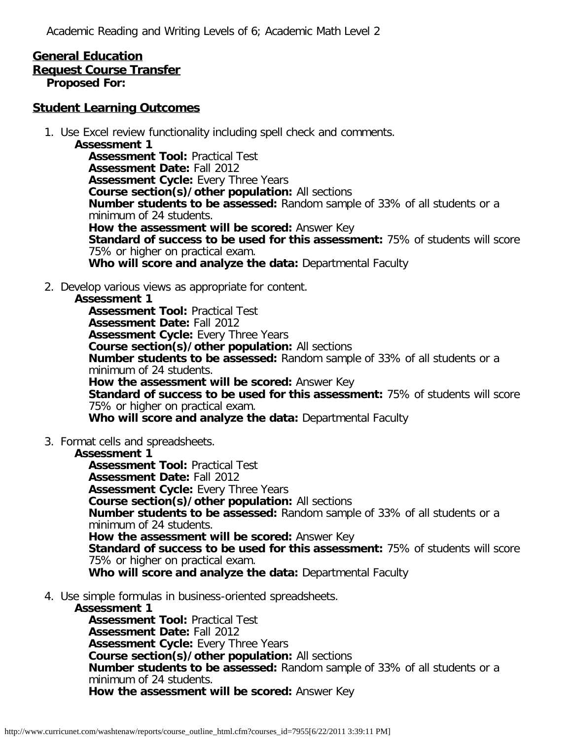Academic Reading and Writing Levels of 6; Academic Math Level 2

#### **General Education Request Course Transfer Proposed For:**

### **Student Learning Outcomes**

1. Use Excel review functionality including spell check and comments.

**Assessment 1 Assessment Tool:** Practical Test **Assessment Date:** Fall 2012 **Assessment Cycle: Every Three Years Course section(s)/other population:** All sections **Number students to be assessed:** Random sample of 33% of all students or a minimum of 24 students. **How the assessment will be scored:** Answer Key **Standard of success to be used for this assessment:** 75% of students will score 75% or higher on practical exam. **Who will score and analyze the data:** Departmental Faculty

2. Develop various views as appropriate for content.

#### **Assessment 1**

**Assessment Tool:** Practical Test **Assessment Date:** Fall 2012 **Assessment Cycle:** Every Three Years **Course section(s)/other population:** All sections **Number students to be assessed:** Random sample of 33% of all students or a minimum of 24 students. **How the assessment will be scored:** Answer Key **Standard of success to be used for this assessment:** 75% of students will score 75% or higher on practical exam. **Who will score and analyze the data:** Departmental Faculty

3. Format cells and spreadsheets.

#### **Assessment 1**

**Assessment Tool:** Practical Test **Assessment Date:** Fall 2012 **Assessment Cycle: Every Three Years Course section(s)/other population:** All sections **Number students to be assessed:** Random sample of 33% of all students or a minimum of 24 students. **How the assessment will be scored:** Answer Key **Standard of success to be used for this assessment:** 75% of students will score 75% or higher on practical exam. **Who will score and analyze the data:** Departmental Faculty

4. Use simple formulas in business-oriented spreadsheets.

#### **Assessment 1**

**Assessment Tool:** Practical Test **Assessment Date:** Fall 2012 **Assessment Cycle:** Every Three Years **Course section(s)/other population:** All sections **Number students to be assessed:** Random sample of 33% of all students or a minimum of 24 students. **How the assessment will be scored:** Answer Key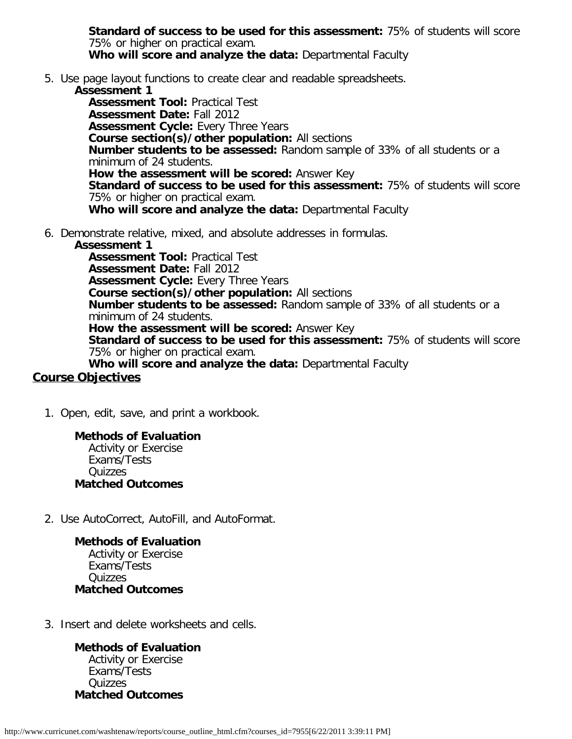**Standard of success to be used for this assessment:** 75% of students will score 75% or higher on practical exam. **Who will score and analyze the data:** Departmental Faculty

5. Use page layout functions to create clear and readable spreadsheets.

#### **Assessment 1**

**Assessment Tool:** Practical Test **Assessment Date:** Fall 2012 **Assessment Cycle:** Every Three Years **Course section(s)/other population:** All sections **Number students to be assessed:** Random sample of 33% of all students or a minimum of 24 students. **How the assessment will be scored:** Answer Key **Standard of success to be used for this assessment:** 75% of students will score 75% or higher on practical exam. **Who will score and analyze the data:** Departmental Faculty

6. Demonstrate relative, mixed, and absolute addresses in formulas.

#### **Assessment 1**

**Assessment Tool:** Practical Test **Assessment Date:** Fall 2012 **Assessment Cycle:** Every Three Years **Course section(s)/other population:** All sections **Number students to be assessed:** Random sample of 33% of all students or a minimum of 24 students. **How the assessment will be scored:** Answer Key **Standard of success to be used for this assessment:** 75% of students will score 75% or higher on practical exam. **Who will score and analyze the data:** Departmental Faculty

# **Course Objectives**

1. Open, edit, save, and print a workbook.

# **Methods of Evaluation**

Activity or Exercise Exams/Tests **Quizzes Matched Outcomes**

2. Use AutoCorrect, AutoFill, and AutoFormat.

#### **Methods of Evaluation**

Activity or Exercise Exams/Tests **Quizzes Matched Outcomes**

3. Insert and delete worksheets and cells.

**Methods of Evaluation** Activity or Exercise Exams/Tests Quizzes **Matched Outcomes**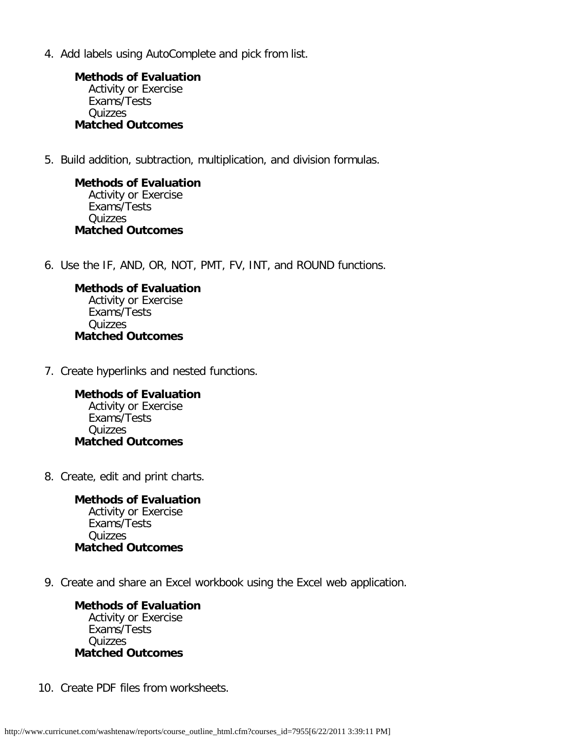4. Add labels using AutoComplete and pick from list.

**Methods of Evaluation** Activity or Exercise Exams/Tests Quizzes **Matched Outcomes**

5. Build addition, subtraction, multiplication, and division formulas.

**Methods of Evaluation** Activity or Exercise Exams/Tests Quizzes **Matched Outcomes**

6. Use the IF, AND, OR, NOT, PMT, FV, INT, and ROUND functions.

**Methods of Evaluation** Activity or Exercise Exams/Tests **Quizzes Matched Outcomes**

7. Create hyperlinks and nested functions.

**Methods of Evaluation** Activity or Exercise Exams/Tests **Quizzes Matched Outcomes**

8. Create, edit and print charts.

**Methods of Evaluation** Activity or Exercise Exams/Tests Quizzes **Matched Outcomes**

9. Create and share an Excel workbook using the Excel web application.

**Methods of Evaluation** Activity or Exercise Exams/Tests **Quizzes Matched Outcomes**

10. Create PDF files from worksheets.